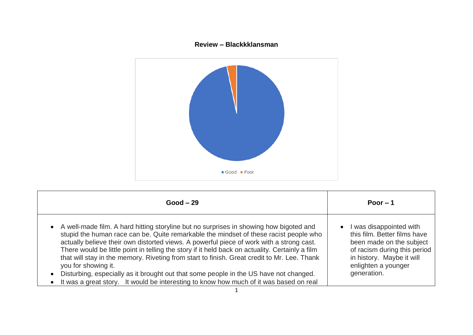## **Review – Blackkklansman**



| $Good - 29$                                                                                                                                                                                                                                                                                                                                                                                                                                                                                                                                                                                                                                                                                                                    | Poor $-1$                                                                                                                                                                                           |
|--------------------------------------------------------------------------------------------------------------------------------------------------------------------------------------------------------------------------------------------------------------------------------------------------------------------------------------------------------------------------------------------------------------------------------------------------------------------------------------------------------------------------------------------------------------------------------------------------------------------------------------------------------------------------------------------------------------------------------|-----------------------------------------------------------------------------------------------------------------------------------------------------------------------------------------------------|
| A well-made film. A hard hitting storyline but no surprises in showing how bigoted and<br>$\bullet$<br>stupid the human race can be. Quite remarkable the mindset of these racist people who<br>actually believe their own distorted views. A powerful piece of work with a strong cast.<br>There would be little point in telling the story if it held back on actuality. Certainly a film<br>that will stay in the memory. Riveting from start to finish. Great credit to Mr. Lee. Thank<br>you for showing it.<br>Disturbing, especially as it brought out that some people in the US have not changed.<br>$\bullet$<br>It was a great story. It would be interesting to know how much of it was based on real<br>$\bullet$ | I was disappointed with<br>$\bullet$<br>this film. Better films have<br>been made on the subject<br>of racism during this period<br>in history. Maybe it will<br>enlighten a younger<br>generation. |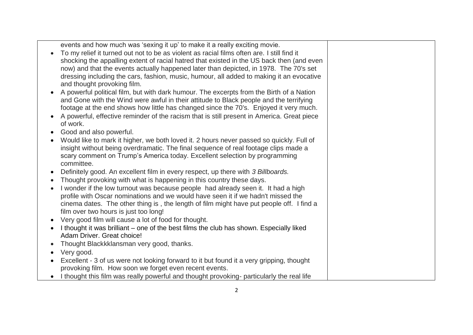|           | events and how much was 'sexing it up' to make it a really exciting movie.<br>To my relief it turned out not to be as violent as racial films often are. I still find it |  |
|-----------|--------------------------------------------------------------------------------------------------------------------------------------------------------------------------|--|
|           | shocking the appalling extent of racial hatred that existed in the US back then (and even                                                                                |  |
|           | now) and that the events actually happened later than depicted, in 1978. The 70's set                                                                                    |  |
|           | dressing including the cars, fashion, music, humour, all added to making it an evocative                                                                                 |  |
|           | and thought provoking film.                                                                                                                                              |  |
|           | A powerful political film, but with dark humour. The excerpts from the Birth of a Nation                                                                                 |  |
|           | and Gone with the Wind were awful in their attitude to Black people and the terrifying                                                                                   |  |
|           | footage at the end shows how little has changed since the 70's. Enjoyed it very much.                                                                                    |  |
|           | A powerful, effective reminder of the racism that is still present in America. Great piece                                                                               |  |
|           | of work.                                                                                                                                                                 |  |
|           | Good and also powerful.                                                                                                                                                  |  |
|           | Would like to mark it higher, we both loved it. 2 hours never passed so quickly. Full of                                                                                 |  |
|           | insight without being overdramatic. The final sequence of real footage clips made a                                                                                      |  |
|           | scary comment on Trump's America today. Excellent selection by programming                                                                                               |  |
|           | committee.                                                                                                                                                               |  |
|           | Definitely good. An excellent film in every respect, up there with 3 Billboards.                                                                                         |  |
|           | Thought provoking with what is happening in this country these days.                                                                                                     |  |
|           | I wonder if the low turnout was because people had already seen it. It had a high                                                                                        |  |
|           | profile with Oscar nominations and we would have seen it if we hadn't missed the                                                                                         |  |
|           | cinema dates. The other thing is, the length of film might have put people off. I find a                                                                                 |  |
|           | film over two hours is just too long!                                                                                                                                    |  |
|           | Very good film will cause a lot of food for thought.                                                                                                                     |  |
|           | I thought it was brilliant – one of the best films the club has shown. Especially liked                                                                                  |  |
|           | Adam Driver. Great choice!                                                                                                                                               |  |
|           | Thought Blackkklansman very good, thanks.                                                                                                                                |  |
| $\bullet$ | Very good.                                                                                                                                                               |  |
|           | Excellent - 3 of us were not looking forward to it but found it a very gripping, thought                                                                                 |  |
|           | provoking film. How soon we forget even recent events.                                                                                                                   |  |
|           |                                                                                                                                                                          |  |
|           | • I thought this film was really powerful and thought provoking- particularly the real life                                                                              |  |